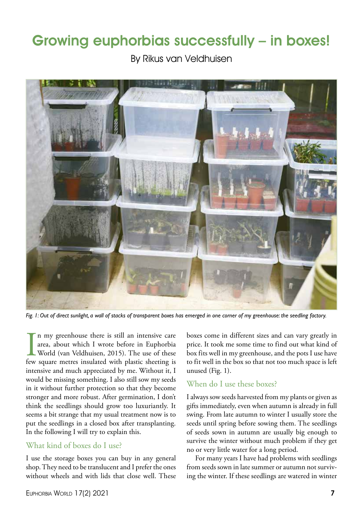# Growing euphorbias successfully – in boxes!

By Rikus van Veldhuisen



*Fig. 1: Out of direct sunlight, a wall of stacks of transparent boxes has emerged in one corner of my greenhouse: the seedling factory.*

In my greenhouse there is still an intensive care<br>area, about which I wrote before in Euphorbia<br>World (van Veldhuisen, 2015). The use of these<br>few square metres insulated with plastic sheeting is n my greenhouse there is still an intensive care area, about which I wrote before in Euphorbia World (van Veldhuisen, 2015). The use of these intensive and much appreciated by me. Without it, I would be missing something. I also still sow my seeds in it without further protection so that they become stronger and more robust. After germination, I don't think the seedlings should grow too luxuriantly. It seems a bit strange that my usual treatment now is to put the seedlings in a closed box after transplanting. In the following I will try to explain this.

## What kind of boxes do I use?

I use the storage boxes you can buy in any general shop. They need to be translucent and I prefer the ones without wheels and with lids that close well. These boxes come in different sizes and can vary greatly in price. It took me some time to find out what kind of box fits well in my greenhouse, and the pots I use have to fit well in the box so that not too much space is left unused (Fig. 1).

### When do I use these boxes?

I always sow seeds harvested from my plants or given as gifts immediately, even when autumn is already in full swing. From late autumn to winter I usually store the seeds until spring before sowing them. The seedlings of seeds sown in autumn are usually big enough to survive the winter without much problem if they get no or very little water for a long period.

For many years I have had problems with seedlings from seeds sown in late summer or autumn not surviving the winter. If these seedlings are watered in winter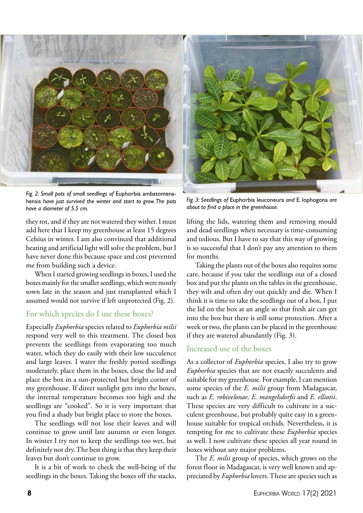

*Fig. 2: Small pots of small seedlings of* Euphorbia ambatomenahensis *have just survived the winter and start to grow. The pots have a diameter of 5.5 cm.*

they rot, and if they are not watered they wither. I must add here that I keep my greenhouse at least 15 degrees Celsius in winter. I am also convinced that additional heating and artificial light will solve the problem, but I have never done this because space and cost prevented me from building such a device.

When I started growing seedlings in boxes, I used the boxes mainly for the smaller seedlings, which were mostly sown late in the season and just transplanted which I assumed would not survive if left unprotected (Fig. 2).

#### For which species do I use these boxes?

Especially *Euphorbia* species related to *Euphorbia milii* respond very well to this treatment. The closed box prevents the seedlings from evaporating too much water, which they do easily with their low succulence and large leaves. I water the freshly potted seedlings moderately, place them in the boxes, close the lid and place the box in a sun-protected but bright corner of my greenhouse. If direct sunlight gets into the boxes, the internal temperature becomes too high and the seedlings are "cooked". So it is very important that you find a shady but bright place to store the boxes.

The seedlings will not lose their leaves and will continue to grow until late autumn or even longer. In winter I try not to keep the seedlings too wet, but definitely not dry. The best thing is that they keep their leaves but don't continue to grow.

It is a bit of work to check the well-being of the seedlings in the boxes. Taking the boxes off the stacks,

*Fig. 3: Seedlings of* Euphorbia leuconeura *and* E. lophogona *are about to find a place in the greenhouse.*

lifting the lids, watering them and removing mould and dead seedlings when necessary is time-consuming and tedious. But I have to say that this way of growing is so successful that I don't pay any attention to them for months.

Taking the plants out of the boxes also requires some care, because if you take the seedlings out of a closed box and put the plants on the tables in the greenhouse, they wilt and often dry out quickly and die. When I think it is time to take the seedlings out of a box, I put the lid on the box at an angle so that fresh air can get into the box but there is still some protection. After a week or two, the plants can be placed in the greenhouse if they are watered abundantly (Fig. 3).

#### Increased use of the boxes

As a collector of *Euphorbia* species, I also try to grow *Euphorbia* species that are not exactly succulents and suitable for my greenhouse. For example, I can mention some species of the *E. milii* group from Madagascar, such as *E. robivelonae, E. mangelsdorfii* and *E. elliotii*. These species are very difficult to cultivate in a succulent greenhouse, but probably quite easy in a greenhouse suitable for tropical orchids. Nevertheless, it is tempting for me to cultivate these *Euphorbia* species as well. I now cultivate these species all year round in boxes without any major problems.

The *E. milii* group of species, which grows on the forest floor in Madagascar, is very well known and appreciated by *Euphorbia* lovers. These are species such as